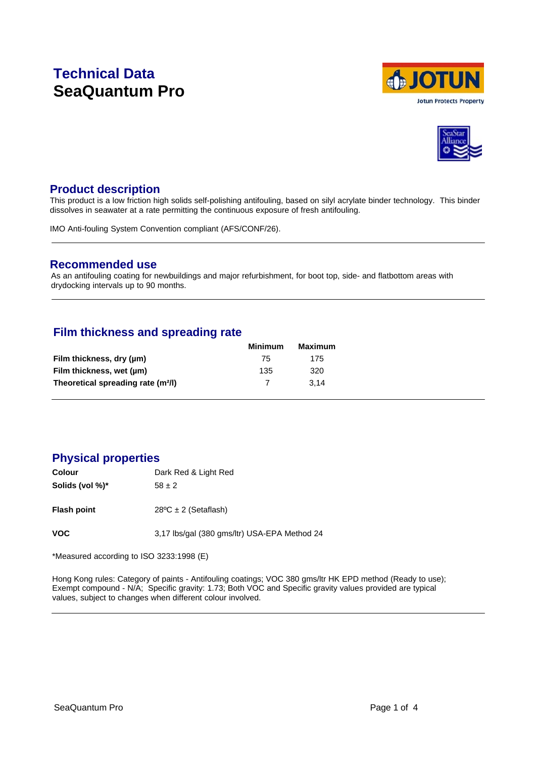# **Technical Data SeaQuantum Pro**





### **Product description**

This product is a low friction high solids self-polishing antifouling, based on silyl acrylate binder technology. This binder dissolves in seawater at a rate permitting the continuous exposure of fresh antifouling.

IMO Anti-fouling System Convention compliant (AFS/CONF/26).

### **Recommended use**

As an antifouling coating for newbuildings and major refurbishment, for boot top, side- and flatbottom areas with drydocking intervals up to 90 months.

# **Film thickness and spreading rate**

| Minimum | Maximum |
|---------|---------|
| 75      | 175     |
| 135     | 320     |
|         | 3.14    |
|         |         |

# **Physical properties**

| Colour          | Dark Red & Light Red                         |
|-----------------|----------------------------------------------|
| Solids (vol %)* | $58 \pm 2$                                   |
| Flash point     | $28^{\circ}$ C ± 2 (Setaflash)               |
| VOC             | 3,17 lbs/gal (380 gms/ltr) USA-EPA Method 24 |

\*Measured according to ISO 3233:1998 (E)

Hong Kong rules: Category of paints - Antifouling coatings; VOC 380 gms/ltr HK EPD method (Ready to use); Exempt compound - N/A; Specific gravity: 1.73; Both VOC and Specific gravity values provided are typical values, subject to changes when different colour involved.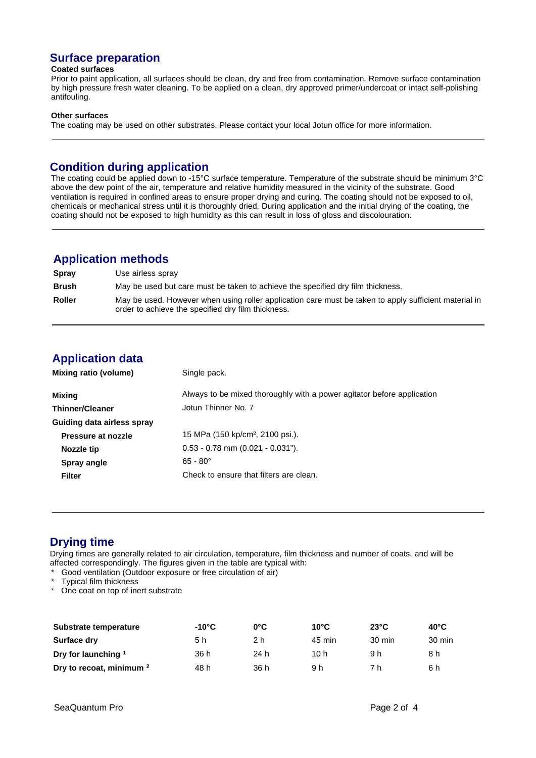# **Surface preparation**

#### **Coated surfaces**

Prior to paint application, all surfaces should be clean, dry and free from contamination. Remove surface contamination by high pressure fresh water cleaning. To be applied on a clean, dry approved primer/undercoat or intact self-polishing antifouling.

#### **Other surfaces**

The coating may be used on other substrates. Please contact your local Jotun office for more information.

### **Condition during application**

The coating could be applied down to -15°C surface temperature. Temperature of the substrate should be minimum 3°C above the dew point of the air, temperature and relative humidity measured in the vicinity of the substrate. Good ventilation is required in confined areas to ensure proper drying and curing. The coating should not be exposed to oil, chemicals or mechanical stress until it is thoroughly dried. During application and the initial drying of the coating, the coating should not be exposed to high humidity as this can result in loss of gloss and discolouration.

### **Application methods**

| <b>Spray</b>  | Use airless spray                                                                                                                                           |
|---------------|-------------------------------------------------------------------------------------------------------------------------------------------------------------|
| <b>Brush</b>  | May be used but care must be taken to achieve the specified dry film thickness.                                                                             |
| <b>Roller</b> | May be used. However when using roller application care must be taken to apply sufficient material in<br>order to achieve the specified dry film thickness. |

# **Application data**

| Mixing ratio (volume)      | Single pack.                                                           |
|----------------------------|------------------------------------------------------------------------|
| Mixing                     | Always to be mixed thoroughly with a power agitator before application |
| <b>Thinner/Cleaner</b>     | Jotun Thinner No. 7                                                    |
| Guiding data airless spray |                                                                        |
| Pressure at nozzle         | 15 MPa (150 kp/cm <sup>2</sup> , 2100 psi.).                           |
| Nozzle tip                 | $0.53 - 0.78$ mm $(0.021 - 0.031)$ .                                   |
| Spray angle                | $65 - 80^{\circ}$                                                      |
| <b>Filter</b>              | Check to ensure that filters are clean.                                |

# **Drying time**

Drying times are generally related to air circulation, temperature, film thickness and number of coats, and will be affected correspondingly. The figures given in the table are typical with:

- Good ventilation (Outdoor exposure or free circulation of air)
- Typical film thickness

One coat on top of inert substrate

| Substrate temperature               | -10°C | $0^{\circ}$ C | $10^{\circ}$ C | $23^{\circ}$ C   | $40^{\circ}$ C |
|-------------------------------------|-------|---------------|----------------|------------------|----------------|
| Surface dry                         | 5 h   | 2 h           | 45 min         | $30 \text{ min}$ | 30 min         |
| Dry for launching 1                 | 36 h  | 24 h          | 10 h           | 9 h              | 8 h            |
| Dry to recoat, minimum <sup>2</sup> | 48 h  | 36 h          | 9 h            | 7 h              | 6 h            |